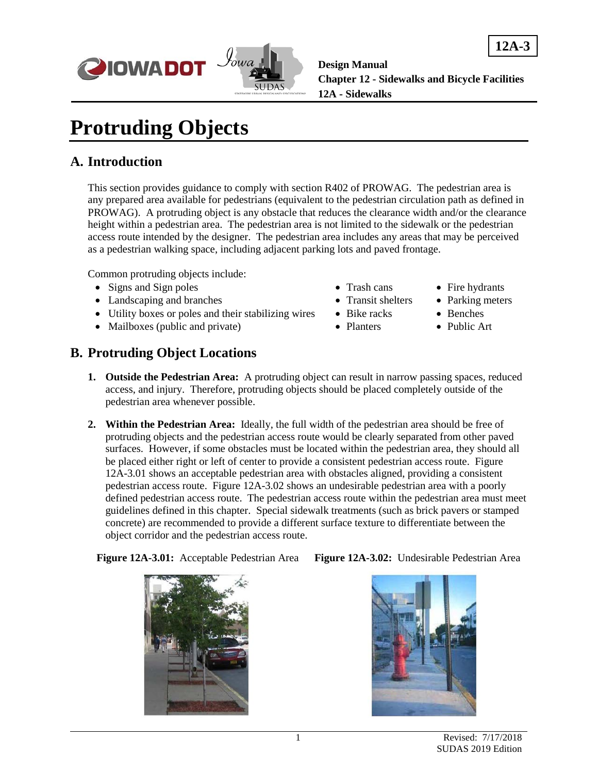



# **Protruding Objects**

#### **A. Introduction**

This section provides guidance to comply with section R402 of PROWAG. The pedestrian area is any prepared area available for pedestrians (equivalent to the pedestrian circulation path as defined in PROWAG). A protruding object is any obstacle that reduces the clearance width and/or the clearance height within a pedestrian area. The pedestrian area is not limited to the sidewalk or the pedestrian access route intended by the designer. The pedestrian area includes any areas that may be perceived as a pedestrian walking space, including adjacent parking lots and paved frontage.

Common protruding objects include:

- Signs and Sign poles Trash cans Fire hydrants
- Landscaping and branches Transit shelters Parking meters
- Utility boxes or poles and their stabilizing wires Bike racks Benches
- Mailboxes (public and private) Planters Public Art
- -
- 
- 
- 
- 

#### **B. Protruding Object Locations**

- **1. Outside the Pedestrian Area:** A protruding object can result in narrow passing spaces, reduced access, and injury. Therefore, protruding objects should be placed completely outside of the pedestrian area whenever possible.
- **2. Within the Pedestrian Area:** Ideally, the full width of the pedestrian area should be free of protruding objects and the pedestrian access route would be clearly separated from other paved surfaces. However, if some obstacles must be located within the pedestrian area, they should all be placed either right or left of center to provide a consistent pedestrian access route. Figure 12A-3.01 shows an acceptable pedestrian area with obstacles aligned, providing a consistent pedestrian access route. Figure 12A-3.02 shows an undesirable pedestrian area with a poorly defined pedestrian access route. The pedestrian access route within the pedestrian area must meet guidelines defined in this chapter. Special sidewalk treatments (such as brick pavers or stamped concrete) are recommended to provide a different surface texture to differentiate between the object corridor and the pedestrian access route.

**Figure 12A-3.01:** Acceptable Pedestrian Area **Figure 12A-3.02:** Undesirable Pedestrian Area



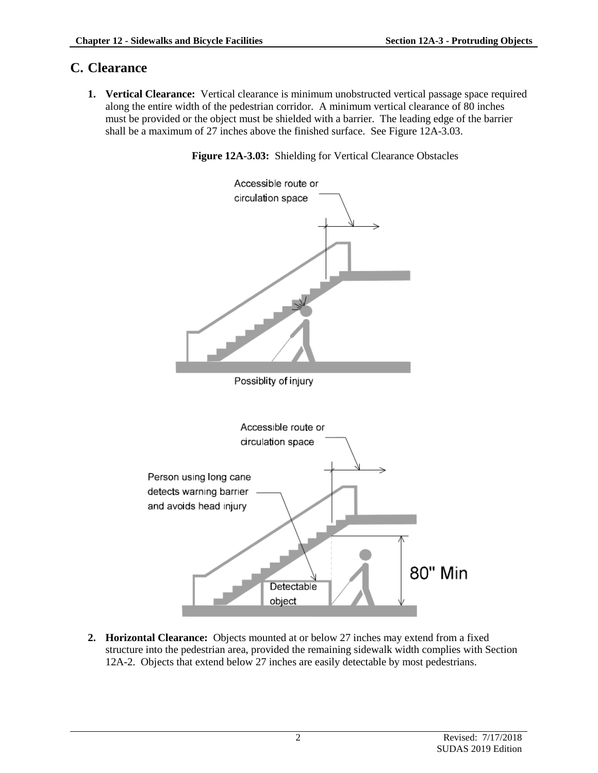### **C. Clearance**

**1. Vertical Clearance:** Vertical clearance is minimum unobstructed vertical passage space required along the entire width of the pedestrian corridor. A minimum vertical clearance of 80 inches must be provided or the object must be shielded with a barrier. The leading edge of the barrier shall be a maximum of 27 inches above the finished surface. See Figure 12A-3.03.

**Figure 12A-3.03:** Shielding for Vertical Clearance Obstacles



**2. Horizontal Clearance:** Objects mounted at or below 27 inches may extend from a fixed structure into the pedestrian area, provided the remaining sidewalk width complies with Section 12A-2. Objects that extend below 27 inches are easily detectable by most pedestrians.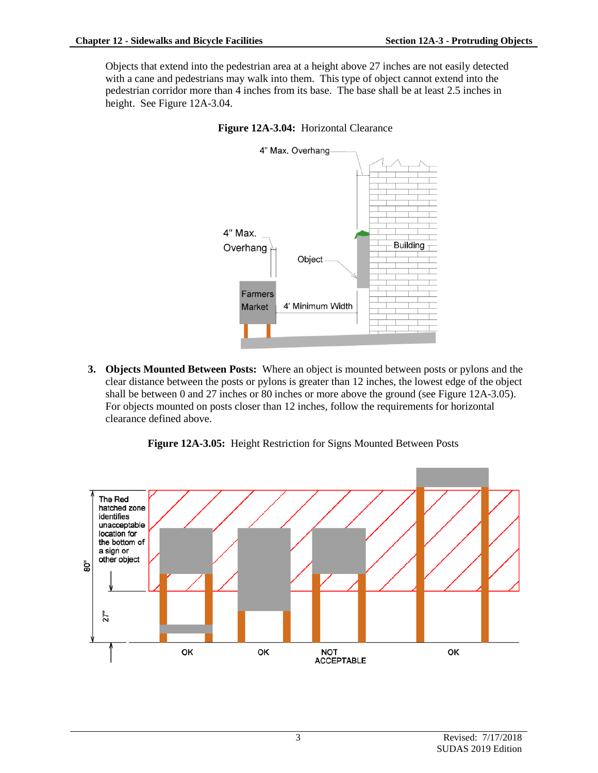Objects that extend into the pedestrian area at a height above 27 inches are not easily detected with a cane and pedestrians may walk into them. This type of object cannot extend into the pedestrian corridor more than 4 inches from its base. The base shall be at least 2.5 inches in height. See Figure 12A-3.04.





**3. Objects Mounted Between Posts:** Where an object is mounted between posts or pylons and the clear distance between the posts or pylons is greater than 12 inches, the lowest edge of the object shall be between 0 and 27 inches or 80 inches or more above the ground (see Figure 12A-3.05). For objects mounted on posts closer than 12 inches, follow the requirements for horizontal clearance defined above.